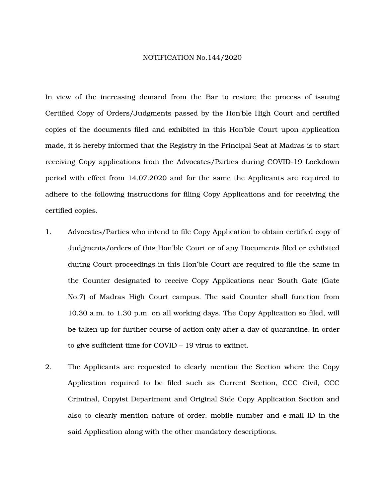## NOTIFICATION No.144/2020

In view of the increasing demand from the Bar to restore the process of issuing Certified Copy of Orders/Judgments passed by the Hon'ble High Court and certified copies of the documents filed and exhibited in this Hon'ble Court upon application made, it is hereby informed that the Registry in the Principal Seat at Madras is to start receiving Copy applications from the Advocates/Parties during COVID-19 Lockdown period with effect from 14.07.2020 and for the same the Applicants are required to adhere to the following instructions for filing Copy Applications and for receiving the certified copies.

- 1. Advocates/Parties who intend to file Copy Application to obtain certified copy of Judgments/orders of this Hon'ble Court or of any Documents filed or exhibited during Court proceedings in this Hon'ble Court are required to file the same in the Counter designated to receive Copy Applications near South Gate (Gate No.7) of Madras High Court campus. The said Counter shall function from 10.30 a.m. to 1.30 p.m. on all working days. The Copy Application so filed, will be taken up for further course of action only after a day of quarantine, in order to give sufficient time for COVID – 19 virus to extinct.
- 2. The Applicants are requested to clearly mention the Section where the Copy Application required to be filed such as Current Section, CCC Civil, CCC Criminal, Copyist Department and Original Side Copy Application Section and also to clearly mention nature of order, mobile number and e-mail ID in the said Application along with the other mandatory descriptions.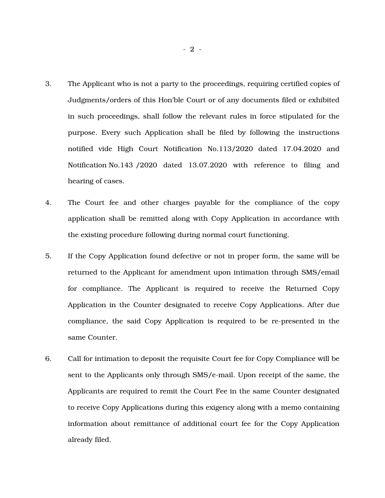- 3. The Applicant who is not a party to the proceedings, requiring certified copies of Judgments/orders of this Hon'ble Court or of any documents filed or exhibited in such proceedings, shall follow the relevant rules in force stipulated for the purpose. Every such Application shall be filed by following the instructions notified vide High Court Notification No.113/2020 dated 17.04.2020 and Notification No.143 /2020 dated 13.07.2020 with reference to filing and hearing of cases.
- 4. The Court fee and other charges payable for the compliance of the copy application shall be remitted along with Copy Application in accordance with the existing procedure following during normal court functioning.
- 5. If the Copy Application found defective or not in proper form, the same will be returned to the Applicant for amendment upon intimation through SMS/email for compliance. The Applicant is required to receive the Returned Copy Application in the Counter designated to receive Copy Applications. After due compliance, the said Copy Application is required to be re-presented in the same Counter.
- 6. Call for intimation to deposit the requisite Court fee for Copy Compliance will be sent to the Applicants only through SMS/e-mail. Upon receipt of the same, the Applicants are required to remit the Court Fee in the same Counter designated to receive Copy Applications during this exigency along with a memo containing information about remittance of additional court fee for the Copy Application already filed.